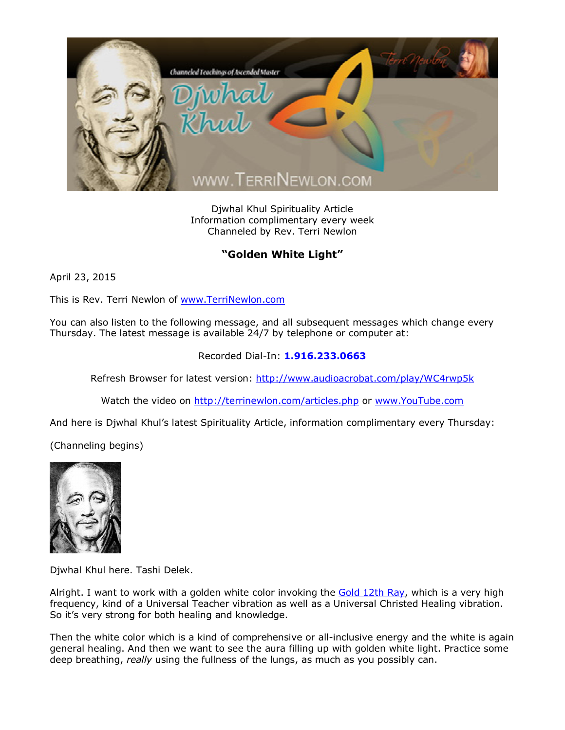

Djwhal Khul Spirituality Article Information complimentary every week Channeled by Rev. Terri Newlon

## **"Golden White Light"**

April 23, 2015

This is Rev. Terri Newlon of [www.TerriNewlon.com](http://www.terrinewlon.com/)

You can also listen to the following message, and all subsequent messages which change every Thursday. The latest message is available 24/7 by telephone or computer at:

## Recorded Dial-In: **1.916.233.0663**

Refresh Browser for latest version: <http://www.audioacrobat.com/play/WC4rwp5k>

Watch the video on <http://terrinewlon.com/articles.php> or [www.YouTube.com](http://www.youtube.com/)

And here is Djwhal Khul's latest Spirituality Article, information complimentary every Thursday:

(Channeling begins)



Djwhal Khul here. Tashi Delek.

Alright. I want to work with a golden white color invoking the [Gold 12th Ray,](http://www.terrinewlon.com/12_ray_attunements.php) which is a very high frequency, kind of a Universal Teacher vibration as well as a Universal Christed Healing vibration. So it's very strong for both healing and knowledge.

Then the white color which is a kind of comprehensive or all-inclusive energy and the white is again general healing. And then we want to see the aura filling up with golden white light. Practice some deep breathing, *really* using the fullness of the lungs, as much as you possibly can.